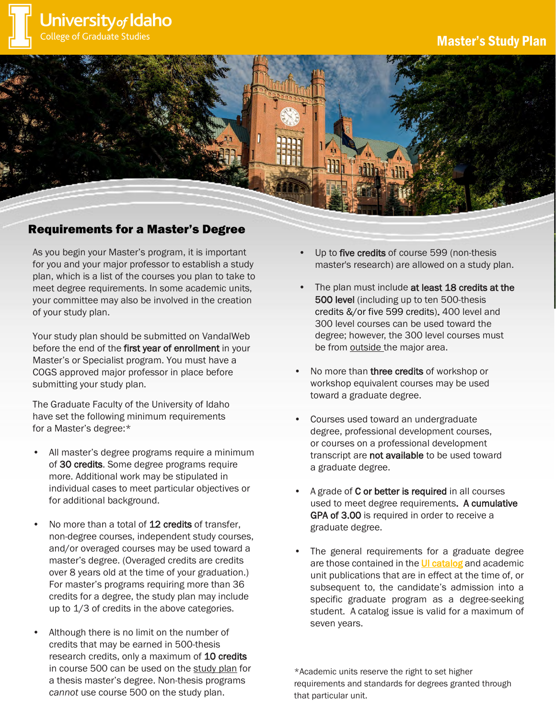



## Requirements for a Master's Degree

As you begin your Master's program, it is important for you and your major professor to establish a study plan, which is a list of the courses you plan to take to meet degree requirements. In some academic units, your committee may also be involved in the creation of your study plan.

Your study plan should be submitted on VandalWeb before the end of the first year of enrollment in your Master's or Specialist program. You must have a COGS approved major professor in place before submitting your study plan.

The Graduate Faculty of the University of Idaho have set the following minimum requirements for a Master's degree:\*

- All master's degree programs require a minimum of 30 credits. Some degree programs require more. Additional work may be stipulated in individual cases to meet particular objectives or for additional background.
- No more than a total of 12 credits of transfer, non-degree courses, independent study courses, and/or overaged courses may be used toward a master's degree. (Overaged credits are credits over 8 years old at the time of your graduation.) For master's programs requiring more than 36 credits for a degree, the study plan may include up to 1/3 of credits in the above categories.
- Although there is no limit on the number of credits that may be earned in 500-thesis research credits, only a maximum of 10 credits in course 500 can be used on the study plan for a thesis master's degree. Non-thesis programs *cannot* use course 500 on the study plan.
- Up to five credits of course 599 (non-thesis master's research) are allowed on a study plan.
- The plan must include at least 18 credits at the 500 level (including up to ten 500-thesis credits &/or five 599 credits). 400 level and 300 level courses can be used toward the degree; however, the 300 level courses must be from outside the major area.
- No more than **three credits** of workshop or workshop equivalent courses may be used toward a graduate degree.
- Courses used toward an undergraduate degree, professional development courses, or courses on a professional development transcript are not available to be used toward a graduate degree.
- A grade of **C** or better is required in all courses used to meet degree requirements. A cumulative GPA of 3.00 is required in order to receive a graduate degree.
- The general requirements for a graduate degree are those contained in the [UI catalog](https://catalog.uidaho.edu/colleges-related-units/graduate-studies/masters-degrees/) and academic unit publications that are in effect at the time of, or subsequent to, the candidate's admission into a specific graduate program as a degree-seeking student. A catalog issue is valid for a maximum of seven years.

\*Academic units reserve the right to set higher requirements and standards for degrees granted through that particular unit.